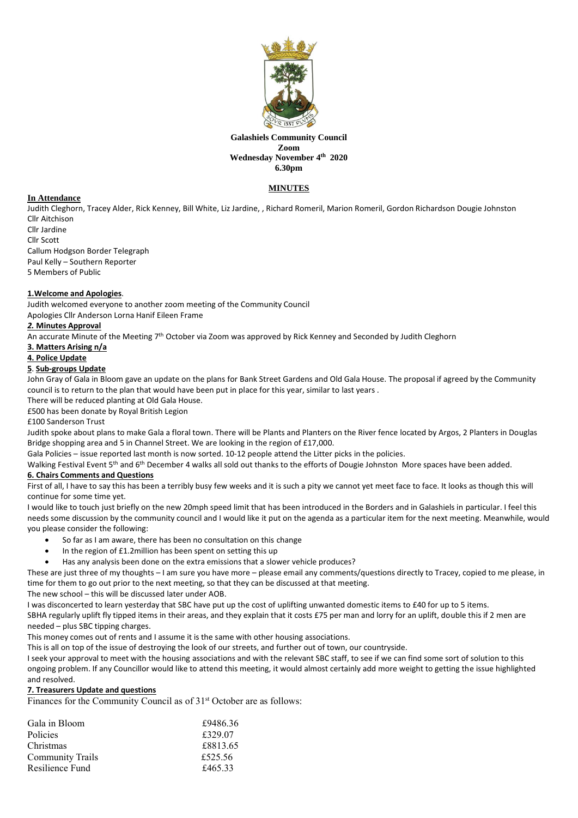

#### **Galashiels Community Council Zoom Wednesday November 4th 2020 6.30pm**

# **MINUTES**

# **In Attendance**

Judith Cleghorn, Tracey Alder, Rick Kenney, Bill White, Liz Jardine, , Richard Romeril, Marion Romeril, Gordon Richardson Dougie Johnston Cllr Aitchison

Cllr Jardine Cllr Scott Callum Hodgson Border Telegraph Paul Kelly – Southern Reporter 5 Members of Public

# **1.Welcome and Apologies**.

Judith welcomed everyone to another zoom meeting of the Community Council

Apologies Cllr Anderson Lorna Hanif Eileen Frame

# *2.* **Minutes Approval**

An accurate Minute of the Meeting 7<sup>th</sup> October via Zoom was approved by Rick Kenney and Seconded by Judith Cleghorn

# **3. Matters Arising n/a**

# **4. Police Update**

## **5**. **Sub-groups Update**

John Gray of Gala in Bloom gave an update on the plans for Bank Street Gardens and Old Gala House. The proposal if agreed by the Community council is to return to the plan that would have been put in place for this year, similar to last years .

There will be reduced planting at Old Gala House.

£500 has been donate by Royal British Legion

£100 Sanderson Trust

Judith spoke about plans to make Gala a floral town. There will be Plants and Planters on the River fence located by Argos, 2 Planters in Douglas Bridge shopping area and 5 in Channel Street. We are looking in the region of £17,000.

Gala Policies – issue reported last month is now sorted. 10-12 people attend the Litter picks in the policies.

Walking Festival Event 5<sup>th</sup> and 6<sup>th</sup> December 4 walks all sold out thanks to the efforts of Dougie Johnston More spaces have been added.

# **6. Chairs Comments and Questions**

First of all, I have to say this has been a terribly busy few weeks and it is such a pity we cannot yet meet face to face. It looks as though this will continue for some time yet.

I would like to touch just briefly on the new 20mph speed limit that has been introduced in the Borders and in Galashiels in particular. I feel this needs some discussion by the community council and I would like it put on the agenda as a particular item for the next meeting. Meanwhile, would you please consider the following:

- So far as I am aware, there has been no consultation on this change
- In the region of £1.2million has been spent on setting this up
- Has any analysis been done on the extra emissions that a slower vehicle produces?

These are just three of my thoughts – I am sure you have more – please email any comments/questions directly to Tracey, copied to me please, in time for them to go out prior to the next meeting, so that they can be discussed at that meeting.

The new school – this will be discussed later under AOB.

I was disconcerted to learn yesterday that SBC have put up the cost of uplifting unwanted domestic items to £40 for up to 5 items.

SBHA regularly uplift fly tipped items in their areas, and they explain that it costs £75 per man and lorry for an uplift, double this if 2 men are needed – plus SBC tipping charges.

This money comes out of rents and I assume it is the same with other housing associations.

This is all on top of the issue of destroying the look of our streets, and further out of town, our countryside.

I seek your approval to meet with the housing associations and with the relevant SBC staff, to see if we can find some sort of solution to this ongoing problem. If any Councillor would like to attend this meeting, it would almost certainly add more weight to getting the issue highlighted and resolved.

### **7. Treasurers Update and questions**

Finances for the Community Council as of  $31<sup>st</sup>$  October are as follows:

| Gala in Bloom           | £9486.36 |
|-------------------------|----------|
| <b>Policies</b>         | £329.07  |
| Christmas               | £8813.65 |
| <b>Community Trails</b> | £525.56  |
| Resilience Fund         | £465.33  |